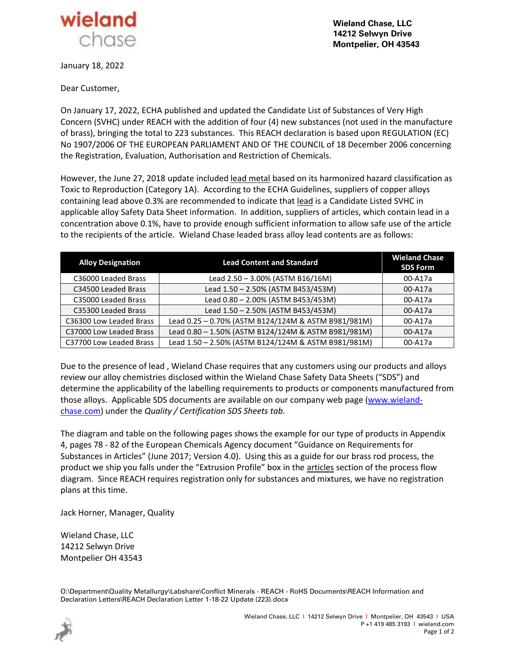

**Wieland Chase, LLC 14212 Selwyn Drive Montpelier, OH 43543**

January 18, 2022

Dear Customer,

On January 17, 2022, ECHA published and updated the Candidate List of Substances of Very High Concern (SVHC) under REACH with the addition of four (4) new substances (not used in the manufacture of brass), bringing the total to 223 substances. This REACH declaration is based upon REGULATION (EC) No 1907/2006 OF THE EUROPEAN PARLIAMENT AND OF THE COUNCIL of 18 December 2006 concerning the Registration, Evaluation, Authorisation and Restriction of Chemicals.

However, the June 27, 2018 update included lead metal based on its harmonized hazard classification as Toxic to Reproduction (Category 1A). According to the ECHA Guidelines, suppliers of copper alloys containing lead above 0.3% are recommended to indicate that lead is a Candidate Listed SVHC in applicable alloy Safety Data Sheet information. In addition, suppliers of articles, which contain lead in a concentration above 0.1%, have to provide enough sufficient information to allow safe use of the article to the recipients of the article. Wieland Chase leaded brass alloy lead contents are as follows:

| <b>Alloy Designation</b> | <b>Lead Content and Standard</b>                    | <b>Wieland Chase</b><br><b>SDS Form</b> |
|--------------------------|-----------------------------------------------------|-----------------------------------------|
| C36000 Leaded Brass      | Lead 2.50 - 3.00% (ASTM B16/16M)                    | 00-A17a                                 |
| C34500 Leaded Brass      | Lead 1.50 - 2.50% (ASTM B453/453M)                  | 00-A17a                                 |
| C35000 Leaded Brass      | Lead 0.80 - 2.00% (ASTM B453/453M)                  | 00-A17a                                 |
| C35300 Leaded Brass      | Lead 1.50 - 2.50% (ASTM B453/453M)                  | 00-A17a                                 |
| C36300 Low Leaded Brass  | Lead 0.25 - 0.70% (ASTM B124/124M & ASTM B981/981M) | 00-A17a                                 |
| C37000 Low Leaded Brass  | Lead 0.80 - 1.50% (ASTM B124/124M & ASTM B981/981M) | 00-A17a                                 |
| C37700 Low Leaded Brass  | Lead 1.50 - 2.50% (ASTM B124/124M & ASTM B981/981M) | 00-A17a                                 |

Due to the presence of lead , Wieland Chase requires that any customers using our products and alloys review our alloy chemistries disclosed within the Wieland Chase Safety Data Sheets ("SDS") and determine the applicability of the labelling requirements to products or components manufactured from those alloys. Applicable SDS documents are available on our company web page [\(www.wieland](http://www.wieland-chase.com/)[chase.com\)](http://www.wieland-chase.com/) under the *Quality / Certification SDS Sheets tab.*

The diagram and table on the following pages shows the example for our type of products in Appendix 4, pages 78 - 82 of the European Chemicals Agency document "Guidance on Requirements for Substances in Articles" (June 2017; Version 4.0). Using this as a guide for our brass rod process, the product we ship you falls under the "Extrusion Profile" box in the articles section of the process flow diagram. Since REACH requires registration only for substances and mixtures, we have no registration plans at this time.

Jack Horner, Manager, Quality

Wieland Chase, LLC 14212 Selwyn Drive Montpelier OH 43543

O:\Department\Quality Metallurgy\Labshare\Conflict Minerals - REACH - RoHS Documents\REACH Information and Declaration Letters\REACH Declaration Letter 1-18-22 Update (223).docx